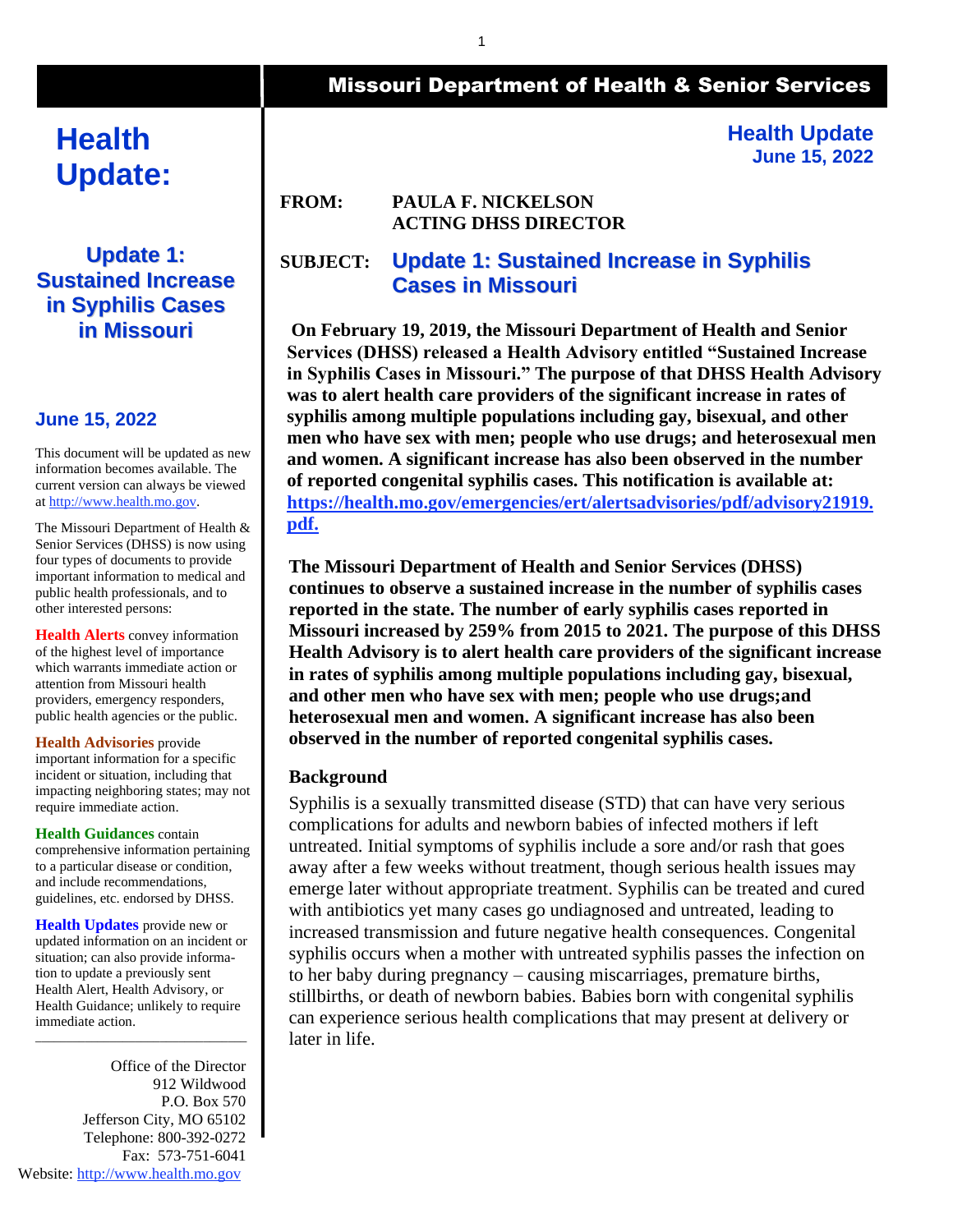# **Health Update:**

### **Update 1: Sustained Increase in Syphilis Cases in Missouri**

#### **June 15, 2022**

This document will be updated as new information becomes available. The current version can always be viewed a[t http://www.health.mo.gov.](http://www.health.mo.gov/)

The Missouri Department of Health & Senior Services (DHSS) is now using four types of documents to provide important information to medical and public health professionals, and to other interested persons:

**Health Alerts** convey information of the highest level of importance which warrants immediate action or attention from Missouri health providers, emergency responders, public health agencies or the public.

**Health Advisories** provide important information for a specific

incident or situation, including that impacting neighboring states; may not require immediate action.

**Health Guidances** contain comprehensive information pertaining to a particular disease or condition, and include recommendations, guidelines, etc. endorsed by DHSS.

**Health Updates** provide new or updated information on an incident or situation; can also provide information to update a previously sent Health Alert, Health Advisory, or Health Guidance; unlikely to require immediate action.

\_\_\_\_\_\_\_\_\_\_\_\_\_\_\_\_\_\_\_\_\_\_\_\_\_\_\_\_\_\_\_\_\_\_

Office of the Director 912 Wildwood P.O. Box 570 Jefferson City, MO 65102 Telephone: 800-392-0272 Fax: 573-751-6041 Website[: http://www.health.mo.gov](http://www.health.mo.gov/)

# Missouri Department of Health & Senior Services

**Health Update June 15, 2022**

#### **FROM: PAULA F. NICKELSON ACTING DHSS DIRECTOR**

## **SUBJECT: Update 1: Sustained Increase in Syphilis Cases in Missouri**

**On February 19, 2019, the Missouri Department of Health and Senior Services (DHSS) released a Health Advisory entitled "Sustained Increase in Syphilis Cases in Missouri." The purpose of that DHSS Health Advisory was to alert health care providers of the significant increase in rates of syphilis among multiple populations including gay, bisexual, and other men who have sex with men; people who use drugs; and heterosexual men and women. A significant increase has also been observed in the number of reported congenital syphilis cases. This notification is available at: [https://health.mo.gov/emergencies/ert/alertsadvisories/pdf/advisory21919.](https://health.mo.gov/emergencies/ert/alertsadvisories/pdf/advisory21919.pdf) [pdf.](https://health.mo.gov/emergencies/ert/alertsadvisories/pdf/advisory21919.pdf)**

**The Missouri Department of Health and Senior Services (DHSS) continues to observe a sustained increase in the number of syphilis cases reported in the state. The number of early syphilis cases reported in Missouri increased by 259% from 2015 to 2021. The purpose of this DHSS Health Advisory is to alert health care providers of the significant increase in rates of syphilis among multiple populations including gay, bisexual, and other men who have sex with men; people who use drugs;and heterosexual men and women. A significant increase has also been observed in the number of reported congenital syphilis cases.**

#### **Background**

Syphilis is a sexually transmitted disease (STD) that can have very serious complications for adults and newborn babies of infected mothers if left untreated. Initial symptoms of syphilis include a sore and/or rash that goes away after a few weeks without treatment, though serious health issues may emerge later without appropriate treatment. Syphilis can be treated and cured with antibiotics yet many cases go undiagnosed and untreated, leading to increased transmission and future negative health consequences. Congenital syphilis occurs when a mother with untreated syphilis passes the infection on to her baby during pregnancy – causing miscarriages, premature births, stillbirths, or death of newborn babies. Babies born with congenital syphilis can experience serious health complications that may present at delivery or later in life.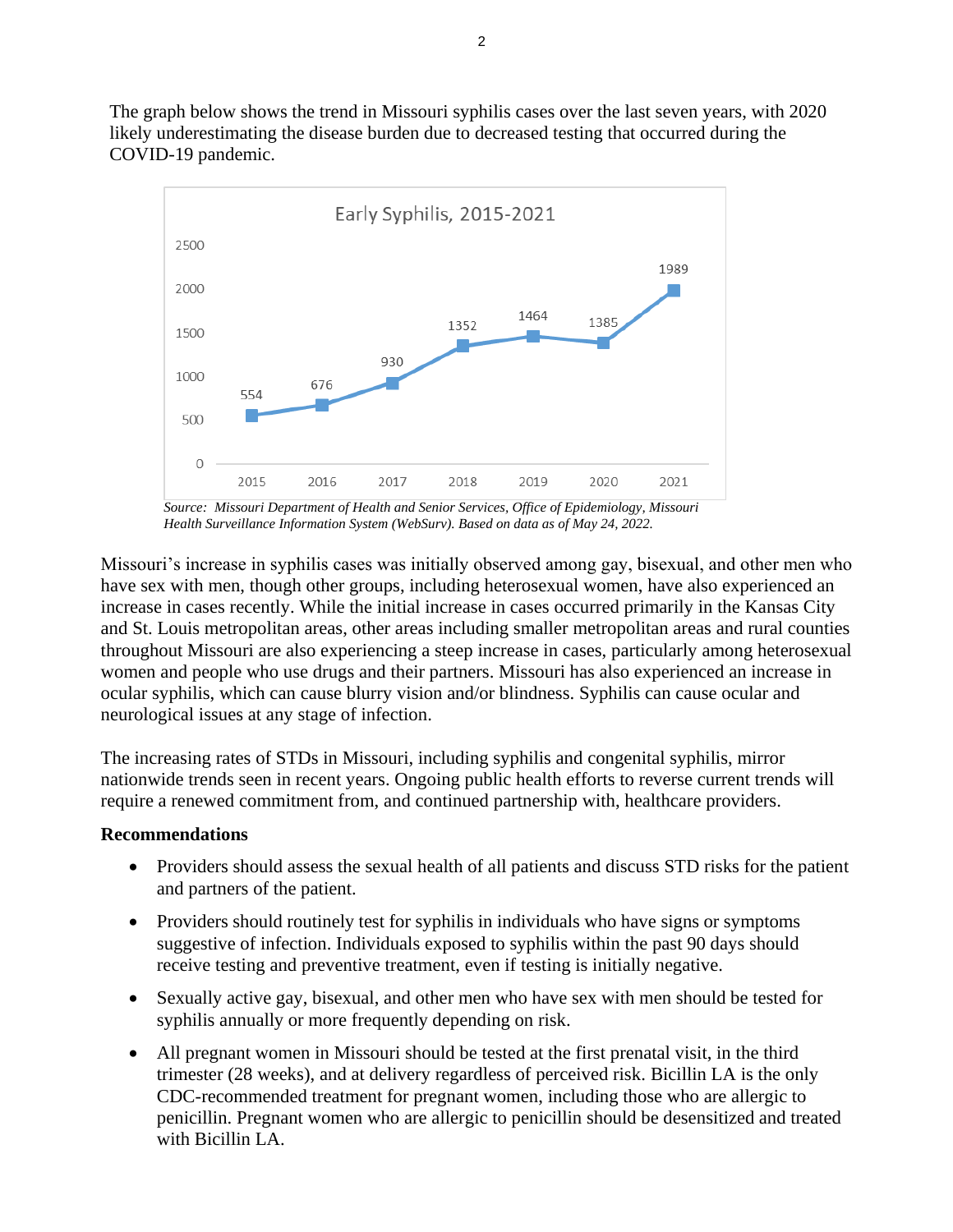The graph below shows the trend in Missouri syphilis cases over the last seven years, with 2020 likely underestimating the disease burden due to decreased testing that occurred during the COVID-19 pandemic.



*Source: Missouri Department of Health and Senior Services, Office of Epidemiology, Missouri Health Surveillance Information System (WebSurv). Based on data as of May 24, 2022.*

Missouri's increase in syphilis cases was initially observed among gay, bisexual, and other men who have sex with men, though other groups, including heterosexual women, have also experienced an increase in cases recently. While the initial increase in cases occurred primarily in the Kansas City and St. Louis metropolitan areas, other areas including smaller metropolitan areas and rural counties throughout Missouri are also experiencing a steep increase in cases, particularly among heterosexual women and people who use drugs and their partners. Missouri has also experienced an increase in ocular syphilis, which can cause blurry vision and/or blindness. Syphilis can cause ocular and neurological issues at any stage of infection.

The increasing rates of STDs in Missouri, including syphilis and congenital syphilis, mirror nationwide trends seen in recent years. Ongoing public health efforts to reverse current trends will require a renewed commitment from, and continued partnership with, healthcare providers.

#### **Recommendations**

- Providers should assess the sexual health of all patients and discuss STD risks for the patient and partners of the patient.
- Providers should routinely test for syphilis in individuals who have signs or symptoms suggestive of infection. Individuals exposed to syphilis within the past 90 days should receive testing and preventive treatment, even if testing is initially negative.
- Sexually active gay, bisexual, and other men who have sex with men should be tested for syphilis annually or more frequently depending on risk.
- All pregnant women in Missouri should be tested at the first prenatal visit, in the third trimester (28 weeks), and at delivery regardless of perceived risk. Bicillin LA is the only CDC-recommended treatment for pregnant women, including those who are allergic to penicillin. Pregnant women who are allergic to penicillin should be desensitized and treated with Bicillin LA.